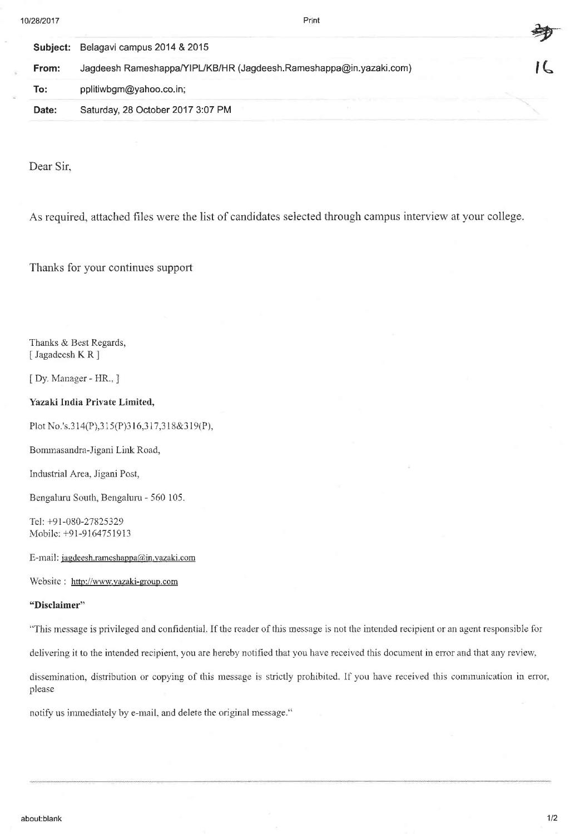| 0/28/2017 | Print                                                              |  |
|-----------|--------------------------------------------------------------------|--|
| Subject:  | Belagavi campus 2014 & 2015                                        |  |
| From:     | Jagdeesh Rameshappa/YIPL/KB/HR (Jagdeesh.Rameshappa@in.yazaki.com) |  |
| To:       | pplitiwbgm@yahoo.co.in;                                            |  |
| Date:     | Saturday, 28 October 2017 3:07 PM                                  |  |

Dear Sir.

As required, attached files were the list of candidates selected through campus interview at your college.

Thanks for your continues support

Thanks & Best Regards, [Jagadeesh KR]

[ Dy. Manager - HR., ]

Yazaki India Private Limited,

Plot No.'s.314(P),315(P)316,317,318&319(P),

Bommasandra-Jigani Link Road,

Industrial Area, Jigani Post,

Bengaluru South, Bengaluru - 560 105.

Tel: +91-080-27825329 Mobile: +91-9164751913

E-mail: jagdeesh.rameshappa@in.vazaki.com

Website : http://www.yazaki-group.com

## "Disclaimer"

"This message is privileged and confidential. If the reader of this message is not the intended recipient or an agent responsible for

delivering it to the intended recipient, you are hereby notified that you have received this document in error and that any review,

dissemination, distribution or copying of this message is strictly prohibited. If you have received this communication in error, please

notify us immediately by e-mail, and delete the original message."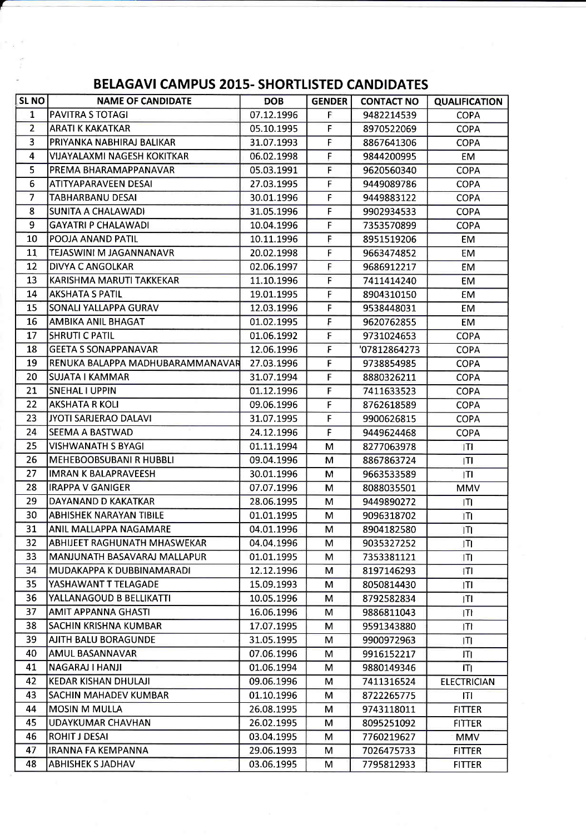## BELAGAVI CAMPUS 2015. SHORTLISTED CANDIDATES

| <b>SLNO</b>    | <b>NAME OF CANDIDATE</b>           | <b>DOB</b> | <b>GENDER</b> | <b>CONTACT NO</b> | <b>QUALIFICATION</b> |
|----------------|------------------------------------|------------|---------------|-------------------|----------------------|
| $\mathbf{1}$   | <b>PAVITRA S TOTAGI</b>            | 07.12.1996 | F.            | 9482214539        | <b>COPA</b>          |
| $\overline{2}$ | <b>ARATI K KAKATKAR</b>            | 05.10.1995 | F             | 8970522069        | <b>COPA</b>          |
| 3              | IPRIYANKA NABHIRAJ BALIKAR         | 31.07.1993 | F             | 8867641306        | <b>COPA</b>          |
| 4              | <b>VIJAYALAXMI NAGESH KOKITKAR</b> | 06.02.1998 | F.            | 9844200995        | EM.                  |
| 5              | PREMA BHARAMAPPANAVAR              | 05.03.1991 | F             | 9620560340        | <b>COPA</b>          |
| 6              | ATITYAPARAVEEN DESAI               | 27.03.1995 | F             | 9449089786        | <b>COPA</b>          |
| $\overline{7}$ | TABHARBANU DESAI                   | 30.01.1996 | F             | 9449883122        | <b>COPA</b>          |
| 8              | SUNITA A CHALAWADI                 | 31.05.1996 | F             | 9902934533        | <b>COPA</b>          |
| 9              | <b>GAYATRI P CHALAWADI</b>         | 10.04.1996 | F             | 7353570899        | <b>COPA</b>          |
| 10             | POOJA ANAND PATIL                  | 10.11.1996 | F             | 8951519206        | <b>EM</b>            |
| 11             | TEJASWINI M JAGANNANAVR            | 20.02.1998 | F             | 9663474852        | EM                   |
| 12             | DIVYA C ANGOLKAR                   | 02.06.1997 | F             | 9686912217        | EM                   |
| 13             | KARISHMA MARUTI TAKKEKAR           | 11.10.1996 | F             | 7411414240        | <b>EM</b>            |
| 14             | <b>AKSHATA S PATIL</b>             | 19.01.1995 | F             | 8904310150        | EM                   |
| 15             | SONALI YALLAPPA GURAV              | 12.03.1996 | F             | 9538448031        | EM                   |
| 16             | <b>AMBIKA ANIL BHAGAT</b>          | 01.02.1995 | F             | 9620762855        | EM                   |
| 17             | <b>SHRUTI C PATIL</b>              | 01.06.1992 | F             | 9731024653        | <b>COPA</b>          |
| 18             | <b>GEETA S SONAPPANAVAR</b>        | 12.06.1996 | F             | '07812864273      | <b>COPA</b>          |
| 19             | RENUKA BALAPPA MADHUBARAMMANAVAR   | 27.03.1996 | F             | 9738854985        | <b>COPA</b>          |
| 20             | ISUJATA I KAMMAR                   | 31.07.1994 | F             | 8880326211        | <b>COPA</b>          |
| 21             | SNEHAL I UPPIN                     | 01.12.1996 | F             | 7411633523        | <b>COPA</b>          |
| 22             | <b>AKSHATA R KOLI</b>              | 09.06.1996 | F             | 8762618589        | <b>COPA</b>          |
| 23             | JYOTI SARJERAO DALAVI              | 31.07.1995 | F             | 9900626815        | <b>COPA</b>          |
| 24             | SEEMA A BASTWAD                    | 24.12.1996 | F             | 9449624468        | <b>COPA</b>          |
| 25             | <b>VISHWANATH S BYAGI</b>          | 01.11.1994 | M             | 8277063978        | IΠ                   |
| 26             | <b>MEHEBOOBSUBANI R HUBBLI</b>     | 09.04.1996 | М             | 8867863724        | ITI                  |
| 27             | <b>IMRAN K BALAPRAVEESH</b>        | 30.01.1996 | м             | 9663533589        | ITI                  |
| 28             | <b>IRAPPA V GANIGER</b>            | 07.07.1996 | M             | 8088035501        | MMV                  |
| 29             | DAYANAND D KAKATKAR                | 28.06.1995 | M             | 9449890272        | ΙTΙ                  |
| 30             | <b>ABHISHEK NARAYAN TIBILE</b>     | 01.01.1995 | м             | 9096318702        | ITI                  |
| 31             | <b>ANIL MALLAPPA NAGAMARE</b>      | 04.01.1996 | М             | 8904182580        | ITI                  |
| 32             | ABHIJEET RAGHUNATH MHASWEKAR       | 04.04.1996 | м             | 9035327252        | ITI                  |
| 33             | MANJUNATH BASAVARAJ MALLAPUR       | 01.01.1995 | м             | 7353381121        | ITI                  |
| 34             | MUDAKAPPA K DUBBINAMARADI          | 12.12.1996 | м             | 8197146293        | T                    |
| 35             | YASHAWANT T TELAGADE               | 15.09.1993 | М             | 8050814430        | ITL                  |
| 36             | YALLANAGOUD B BELLIKATTI           | 10.05.1996 | м             | 8792582834        | IТI                  |
| 37             | AMIT APPANNA GHASTI                | 16.06.1996 | М             | 9886811043        | T                    |
| 38             | SACHIN KRISHNA KUMBAR              | 17.07.1995 | М             | 9591343880        | ITI                  |
| 39             | AJITH BALU BORAGUNDE               | 31.05.1995 | м             | 9900972963        | IТI                  |
| 40             | AMUL BASANNAVAR                    | 07.06.1996 | м             | 9916152217        | ITI                  |
| 41             | NAGARAJ I HANJI                    | 01.06.1994 | м             | 9880149346        | Щ                    |
| 42             | <b>KEDAR KISHAN DHULAJI</b>        | 09.06.1996 | м             | 7411316524        | <b>ELECTRICIAN</b>   |
| 43             | SACHIN MAHADEV KUMBAR              | 01.10.1996 | M             | 8722265775        | ΙTΙ                  |
| 44             | <b>MOSIN M MULLA</b>               | 26.08.1995 | М             | 9743118011        | <b>FITTER</b>        |
| 45             | <b>UDAYKUMAR CHAVHAN</b>           | 26.02.1995 | м             | 8095251092        | FITTER               |
| 46             | ROHIT J DESAI                      | 03.04.1995 | М             | 7760219627        | MMV                  |
| 47             | <b>IRANNA FA KEMPANNA</b>          | 29.06.1993 | M             | 7026475733        | <b>FITTER</b>        |
| 48             | <b>ABHISHEK S JADHAV</b>           | 03.06.1995 | м             | 7795812933        | <b>FITTER</b>        |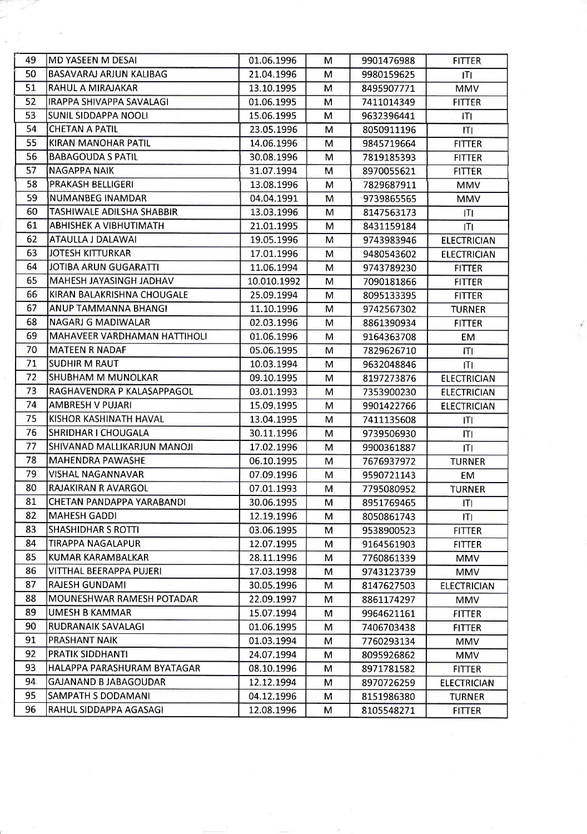| 49 | MD YASEEN M DESAI              | 01.06.1996  | M | 9901476988 | <b>FITTER</b>      |
|----|--------------------------------|-------------|---|------------|--------------------|
| 50 | <b>BASAVARAJ ARJUN KALIBAG</b> | 21.04.1996  | M | 9980159625 | IΤI                |
| 51 | RAHUL A MIRAJAKAR              | 13.10.1995  | M | 8495907771 | <b>MMV</b>         |
| 52 | IRAPPA SHIVAPPA SAVALAGI       | 01.06.1995  | М | 7411014349 | <b>FITTER</b>      |
| 53 | SUNIL SIDDAPPA NOOLI           | 15.06.1995  | М | 9632396441 | Щ                  |
| 54 | <b>CHETAN A PATIL</b>          | 23.05.1996  | M | 8050911196 | ITI                |
| 55 | KIRAN MANOHAR PATIL            | 14.06.1996  | м | 9845719664 | <b>FITTER</b>      |
| 56 | <b>BABAGOUDA S PATIL</b>       | 30.08.1996  | M | 7819185393 | <b>FITTER</b>      |
| 57 | <b>NAGAPPA NAIK</b>            | 31.07.1994  | М | 8970055621 | <b>FITTER</b>      |
| 58 | PRAKASH BELLIGERI              | 13.08.1996  | м | 7829687911 | MMV                |
| 59 | NUMANBEG INAMDAR               | 04.04.1991  | M | 9739865565 | MMV                |
| 60 | TASHIWALE ADILSHA SHABBIR      | 13.03.1996  | M | 8147563173 | Ш                  |
| 61 | ABHISHEK A VIBHUTIMATH         | 21.01.1995  | M | 8431159184 | IΠ                 |
| 62 | ATAULLA J DALAWAI              | 19.05.1996  | M | 9743983946 | <b>ELECTRICIAN</b> |
| 63 | JOTESH KITTURKAR               | 17.01.1996  | M | 9480543602 | <b>ELECTRICIAN</b> |
| 64 | JOTIBA ARUN GUGARATTI          | 11.06.1994  | м | 9743789230 | <b>FITTER</b>      |
| 65 | MAHESH JAYASINGH JADHAV        | 10.010.1992 | M | 7090181866 | <b>FITTER</b>      |
| 66 | KIRAN BALAKRISHNA CHOUGALE     | 25.09.1994  | м | 8095133395 | <b>FITTER</b>      |
| 67 | ANUP TAMMANNA BHANGI           | 11.10.1996  | М | 9742567302 | <b>TURNER</b>      |
| 68 | NAGARJ G MADIWALAR             | 02.03.1996  | М | 8861390934 | <b>FITTER</b>      |
| 69 | MAHAVEER VARDHAMAN HATTIHOLI   | 01.06.1996  | M | 9164363708 | EM                 |
| 70 | MATEEN R NADAF                 | 05.06.1995  | м | 7829626710 | ITI                |
| 71 | SUDHIR M RAUT                  | 10.03.1994  | M | 9632048846 | $\mathsf{H}$       |
| 72 | <b>SHUBHAM M MUNOLKAR</b>      | 09.10.1995  | M | 8197273876 | <b>ELECTRICIAN</b> |
| 73 | RAGHAVENDRA P KALASAPPAGOL     | 03.01.1993  | м | 7353900230 | <b>ELECTRICIAN</b> |
| 74 | AMBRESH V PUJARI               | 15.09.1995  | м | 9901422766 | <b>ELECTRICIAN</b> |
| 75 | KISHOR KASHINATH HAVAL         | 13.04.1995  | M | 7411135608 | IП                 |
| 76 | <b>SHRIDHAR I CHOUGALA</b>     | 30.11.1996  | M | 9739506930 | ITI                |
| 77 | SHIVANAD MALLIKARJUN MANOJI    | 17.02.1996  | M | 9900361887 | IΤI                |
| 78 | <b>MAHENDRA PAWASHE</b>        | 06.10.1995  | M | 7676937972 | <b>TURNER</b>      |
| 79 | VISHAL NAGANNAVAR              | 07.09.1996  | M | 9590721143 | EM                 |
| 80 | RAJAKIRAN R AVARGOL            | 07.01.1993  | M | 7795080952 | <b>TURNER</b>      |
| 81 | CHETAN PANDAPPA YARABANDI      | 30.06.1995  | М | 8951769465 | łТJ                |
| 82 | <b>MAHESH GADDI</b>            | 12.19.1996  | м | 8050861743 | ITI                |
| 83 | SHASHIDHAR S ROTTI             | 03.06.1995  | м | 9538900523 | <b>FITTER</b>      |
| 84 | TIRAPPA NAGALAPUR              | 12.07.1995  | м | 9164561903 | <b>FITTER</b>      |
| 85 | KUMAR KARAMBALKAR              | 28.11.1996  | М | 7760861339 | MMV                |
| 86 | VITTHAL BEERAPPA PUJERI        | 17.03.1998  | M | 9743123739 | <b>MMV</b>         |
| 87 | <b>RAJESH GUNDAMI</b>          | 30.05.1996  | M | 8147627503 | <b>ELECTRICIAN</b> |
| 88 | MOUNESHWAR RAMESH POTADAR      | 22.09.1997  | M | 8861174297 | MMV                |
| 89 | <b>UMESH B KAMMAR</b>          | 15.07.1994  | M | 9964621161 | <b>FITTER</b>      |
| 90 | RUDRANAIK SAVALAGI             | 01.06.1995  | M | 7406703438 | <b>FITTER</b>      |
| 91 | PRASHANT NAIK                  | 01.03.1994  | M | 7760293134 | MMV                |
| 92 | <b>PRATIK SIDDHANTI</b>        | 24.07.1994  | М | 8095926862 | <b>MMV</b>         |
| 93 | HALAPPA PARASHURAM BYATAGAR    | 08.10.1996  | м | 8971781582 | <b>FITTER</b>      |
| 94 | <b>GAJANAND B JABAGOUDAR</b>   | 12.12.1994  | M | 8970726259 | <b>ELECTRICIAN</b> |
| 95 | SAMPATH S DODAMANI             | 04.12.1996  | M | 8151986380 | <b>TURNER</b>      |
| 96 | RAHUL SIDDAPPA AGASAGI         | 12.08.1996  | м | 8105548271 | <b>FITTER</b>      |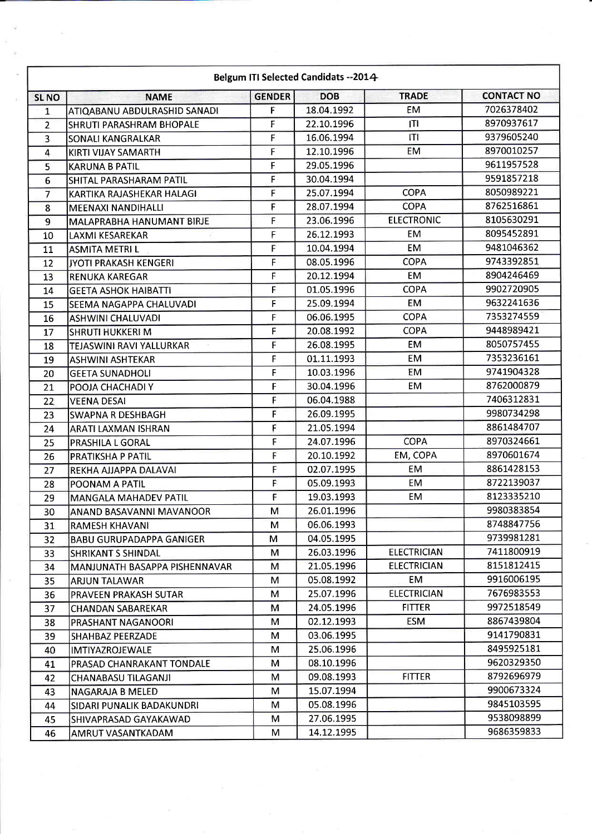| Belgum ITI Selected Candidats -- 2014 |                                 |               |            |                    |                   |  |
|---------------------------------------|---------------------------------|---------------|------------|--------------------|-------------------|--|
| <b>SLNO</b>                           | <b>NAME</b>                     | <b>GENDER</b> | <b>DOB</b> | <b>TRADE</b>       | <b>CONTACT NO</b> |  |
| $\mathbf{1}$                          | ATIQABANU ABDULRASHID SANADI    | F             | 18.04.1992 | <b>EM</b>          | 7026378402        |  |
| $\overline{2}$                        | SHRUTI PARASHRAM BHOPALE        | F             | 22.10.1996 | İΤΙ                | 8970937617        |  |
| 3                                     | SONALI KANGRALKAR               | F             | 16.06.1994 | ITI                | 9379605240        |  |
| 4                                     | KIRTI VIJAY SAMARTH             | F             | 12.10.1996 | <b>EM</b>          | 8970010257        |  |
| 5                                     | <b>KARUNA B PATIL</b>           | F             | 29.05.1996 |                    | 9611957528        |  |
| 6                                     | SHITAL PARASHARAM PATIL         | F             | 30.04.1994 |                    | 9591857218        |  |
| $\overline{7}$                        | KARTIKA RAJASHEKAR HALAGI       | F             | 25.07.1994 | <b>COPA</b>        | 8050989221        |  |
| 8                                     | <b>MEENAXI NANDIHALLI</b>       | F             | 28.07.1994 | <b>COPA</b>        | 8762516861        |  |
| 9                                     | MALAPRABHA HANUMANT BIRJE       | F             | 23.06.1996 | <b>ELECTRONIC</b>  | 8105630291        |  |
| 10                                    | <b>LAXMI KESAREKAR</b>          | F             | 26.12.1993 | <b>EM</b>          | 8095452891        |  |
| 11                                    | <b>ASMITA METRI L</b>           | F             | 10.04.1994 | <b>EM</b>          | 9481046362        |  |
| 12                                    | JYOTI PRAKASH KENGERI           | F             | 08.05.1996 | <b>COPA</b>        | 9743392851        |  |
| 13                                    | <b>RENUKA KAREGAR</b>           | F             | 20.12.1994 | EM                 | 8904246469        |  |
| 14                                    | <b>GEETA ASHOK HAIBATTI</b>     | F             | 01.05.1996 | <b>COPA</b>        | 9902720905        |  |
| 15                                    | SEEMA NAGAPPA CHALUVADI         | F             | 25.09.1994 | <b>EM</b>          | 9632241636        |  |
| 16                                    | <b>ASHWINI CHALUVADI</b>        | F             | 06.06.1995 | <b>COPA</b>        | 7353274559        |  |
| 17                                    | <b>SHRUTI HUKKERI M</b>         | F             | 20.08.1992 | <b>COPA</b>        | 9448989421        |  |
| 18                                    | <b>TEJASWINI RAVI YALLURKAR</b> | F             | 26.08.1995 | EM                 | 8050757455        |  |
| 19                                    | <b>ASHWINI ASHTEKAR</b>         | F             | 01.11.1993 | <b>EM</b>          | 7353236161        |  |
| 20                                    | <b>GEETA SUNADHOLI</b>          | F             | 10.03.1996 | <b>EM</b>          | 9741904328        |  |
| 21                                    | POOJA CHACHADI Y                | F             | 30.04.1996 | <b>EM</b>          | 8762000879        |  |
| 22                                    | <b>VEENA DESAI</b>              | F             | 06.04.1988 |                    | 7406312831        |  |
| 23                                    | <b>SWAPNA R DESHBAGH</b>        | F             | 26.09.1995 |                    | 9980734298        |  |
| 24                                    | <b>ARATI LAXMAN ISHRAN</b>      | F             | 21.05.1994 |                    | 8861484707        |  |
| 25                                    | PRASHILA L GORAL                | F             | 24.07.1996 | <b>COPA</b>        | 8970324661        |  |
| 26                                    | PRATIKSHA P PATIL               | F             | 20.10.1992 | EM, COPA           | 8970601674        |  |
| 27                                    | REKHA AJJAPPA DALAVAI           | F             | 02.07.1995 | <b>EM</b>          | 8861428153        |  |
| 28                                    | POONAM A PATIL                  | F             | 05.09.1993 | <b>EM</b>          | 8722139037        |  |
| 29                                    | <b>MANGALA MAHADEV PATIL</b>    | F             | 19.03.1993 | EM                 | 8123335210        |  |
| 30                                    | lanand Basavanni Mavanoor       | м             | 26.01.1996 |                    | 9980383854        |  |
| 31                                    | <b>RAMESH KHAVANI</b>           | м             | 06.06.1993 |                    | 8748847756        |  |
| 32                                    | <b>BABU GURUPADAPPA GANIGER</b> | м             | 04.05.1995 |                    | 9739981281        |  |
| 33                                    | SHRIKANT S SHINDAL              | м             | 26.03.1996 | <b>ELECTRICIAN</b> | 7411800919        |  |
| 34                                    | MANJUNATH BASAPPA PISHENNAVAR   | м             | 21.05.1996 | <b>ELECTRICIAN</b> | 8151812415        |  |
| 35                                    | ARJUN TALAWAR                   | м             | 05.08.1992 | EM                 | 9916006195        |  |
| 36                                    | <b>PRAVEEN PRAKASH SUTAR</b>    | м             | 25.07.1996 | <b>ELECTRICIAN</b> | 7676983553        |  |
| 37                                    | <b>CHANDAN SABAREKAR</b>        | М             | 24.05.1996 | <b>FITTER</b>      | 9972518549        |  |
| 38                                    | PRASHANT NAGANOORI              | м             | 02.12.1993 | ESM                | 8867439804        |  |
| 39                                    | <b>SHAHBAZ PEERZADE</b>         | м             | 03.06.1995 |                    | 9141790831        |  |
| 40                                    | <b>IMTIYAZROJEWALE</b>          | М             | 25.06.1996 |                    | 8495925181        |  |
| 41                                    | PRASAD CHANRAKANT TONDALE       | M             | 08.10.1996 |                    | 9620329350        |  |
| 42                                    | CHANABASU TILAGANJI             | м             | 09.08.1993 | <b>FITTER</b>      | 8792696979        |  |
| 43                                    | NAGARAJA B MELED                | м             | 15.07.1994 |                    | 9900673324        |  |
| 44                                    | SIDARI PUNALIK BADAKUNDRI       | М             | 05.08.1996 |                    | 9845103595        |  |
| 45                                    | SHIVAPRASAD GAYAKAWAD           | м             | 27.06.1995 |                    | 9538098899        |  |
| 46                                    | AMRUT VASANTKADAM               | M             | 14.12.1995 |                    | 9686359833        |  |

 $\overline{\psi}$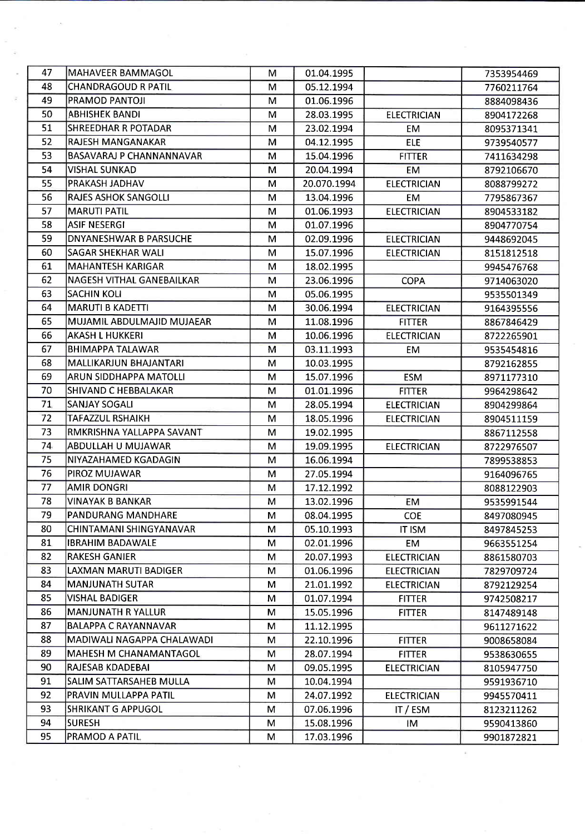| 47 | MAHAVEER BAMMAGOL             | M | 01.04.1995  |                    | 7353954469 |
|----|-------------------------------|---|-------------|--------------------|------------|
| 48 | <b>CHANDRAGOUD R PATIL</b>    | M | 05.12.1994  |                    | 7760211764 |
| 49 | PRAMOD PANTOJI                | M | 01.06.1996  |                    | 8884098436 |
| 50 | <b>ABHISHEK BANDI</b>         | м | 28.03.1995  | <b>ELECTRICIAN</b> | 8904172268 |
| 51 | <b>SHREEDHAR R POTADAR</b>    | м | 23.02.1994  | EM                 | 8095371341 |
| 52 | RAJESH MANGANAKAR             | M | 04.12.1995  | <b>ELE</b>         | 9739540577 |
| 53 | BASAVARAJ P CHANNANNAVAR      | м | 15.04.1996  | <b>FITTER</b>      | 7411634298 |
| 54 | VISHAL SUNKAD                 | м | 20.04.1994  | <b>EM</b>          | 8792106670 |
| 55 | PRAKASH JADHAV                | M | 20.070.1994 | <b>ELECTRICIAN</b> | 8088799272 |
| 56 | <b>RAJES ASHOK SANGOLLI</b>   | м | 13.04.1996  | EM                 | 7795867367 |
| 57 | <b>MARUTI PATIL</b>           | м | 01.06.1993  | <b>ELECTRICIAN</b> | 8904533182 |
| 58 | <b>ASIF NESERGI</b>           | M | 01.07.1996  |                    | 8904770754 |
| 59 | <b>DNYANESHWAR B PARSUCHE</b> | M | 02.09.1996  | <b>ELECTRICIAN</b> | 9448692045 |
| 60 | SAGAR SHEKHAR WALI            | M | 15.07.1996  | <b>ELECTRICIAN</b> | 8151812518 |
| 61 | <b>MAHANTESH KARIGAR</b>      | M | 18.02.1995  |                    | 9945476768 |
| 62 | NAGESH VITHAL GANEBAILKAR     | M | 23.06.1996  | <b>COPA</b>        | 9714063020 |
| 63 | <b>SACHIN KOLI</b>            | м | 05.06.1995  |                    | 9535501349 |
| 64 | <b>MARUTI B KADETTI</b>       | M | 30.06.1994  | <b>ELECTRICIAN</b> | 9164395556 |
| 65 | MUJAMIL ABDULMAJID MUJAEAR    | м | 11.08.1996  | <b>FITTER</b>      | 8867846429 |
| 66 | <b>AKASH L HUKKERI</b>        | M | 10.06.1996  | <b>ELECTRICIAN</b> | 8722265901 |
| 67 | <b>BHIMAPPA TALAWAR</b>       | м | 03.11.1993  | EМ                 | 9535454816 |
| 68 | MALLIKARJUN BHAJANTARI        | м | 10.03.1995  |                    | 8792162855 |
| 69 | ARUN SIDDHAPPA MATOLLI        | м | 15.07.1996  | <b>ESM</b>         | 8971177310 |
| 70 | SHIVAND C HEBBALAKAR          | м | 01.01.1996  | <b>FITTER</b>      | 9964298642 |
| 71 | <b>SANJAY SOGALI</b>          | м | 28.05.1994  | <b>ELECTRICIAN</b> | 8904299864 |
| 72 | TAFAZZUL RSHAIKH              | M | 18.05.1996  | <b>ELECTRICIAN</b> | 8904511159 |
| 73 | RMKRISHNA YALLAPPA SAVANT     | м | 19.02.1995  |                    | 8867112558 |
| 74 | ABDULLAH U MUJAWAR            | M | 19.09.1995  | <b>ELECTRICIAN</b> | 8722976507 |
| 75 | NIYAZAHAMED KGADAGIN          | м | 16.06.1994  |                    | 7899538853 |
| 76 | PIROZ MUJAWAR                 | M | 27.05.1994  |                    | 9164096765 |
| 77 | <b>AMIR DONGRI</b>            | M | 17.12.1992  |                    | 8088122903 |
| 78 | VINAYAK B BANKAR              | м | 13.02.1996  | <b>EM</b>          | 9535991544 |
| 79 | <b>PANDURANG MANDHARE</b>     | м | 08.04.1995  | <b>COE</b>         | 8497080945 |
| 80 | CHINTAMANI SHINGYANAVAR       | M | 05.10.1993  | <b>IT ISM</b>      | 8497845253 |
| 81 | <b>IBRAHIM BADAWALE</b>       | м | 02.01.1996  | EM                 | 9663551254 |
| 82 | <b>RAKESH GANIER</b>          | м | 20.07.1993  | <b>ELECTRICIAN</b> | 8861580703 |
| 83 | LAXMAN MARUTI BADIGER         | м | 01.06.1996  | <b>ELECTRICIAN</b> | 7829709724 |
| 84 | <b>MANJUNATH SUTAR</b>        | м | 21.01.1992  | <b>ELECTRICIAN</b> | 8792129254 |
| 85 | <b>VISHAL BADIGER</b>         | м | 01.07.1994  | <b>FITTER</b>      | 9742508217 |
| 86 | <b>MANJUNATH R YALLUR</b>     | м | 15.05.1996  | <b>FITTER</b>      | 8147489148 |
| 87 | <b>BALAPPA C RAYANNAVAR</b>   | м | 11.12.1995  |                    | 9611271622 |
| 88 | MADIWALI NAGAPPA CHALAWADI    | M | 22.10.1996  | <b>FITTER</b>      | 9008658084 |
| 89 | IMAHESH M CHANAMANTAGOL       | M | 28.07.1994  | <b>FITTER</b>      | 9538630655 |
| 90 | RAJESAB KDADEBAI              | м | 09.05.1995  | <b>ELECTRICIAN</b> | 8105947750 |
| 91 | SALIM SATTARSAHEB MULLA       | M | 10.04.1994  |                    | 9591936710 |
| 92 | PRAVIN MULLAPPA PATIL         | м | 24.07.1992  | <b>ELECTRICIAN</b> | 9945570411 |
| 93 | <b>SHRIKANT G APPUGOL</b>     | М | 07.06.1996  | IT / ESM           | 8123211262 |
| 94 | <b>SURESH</b>                 | M | 15.08.1996  | IM                 | 9590413860 |
| 95 | PRAMOD A PATIL                | М | 17.03.1996  |                    | 9901872821 |

 $\sim 10^{-11}$